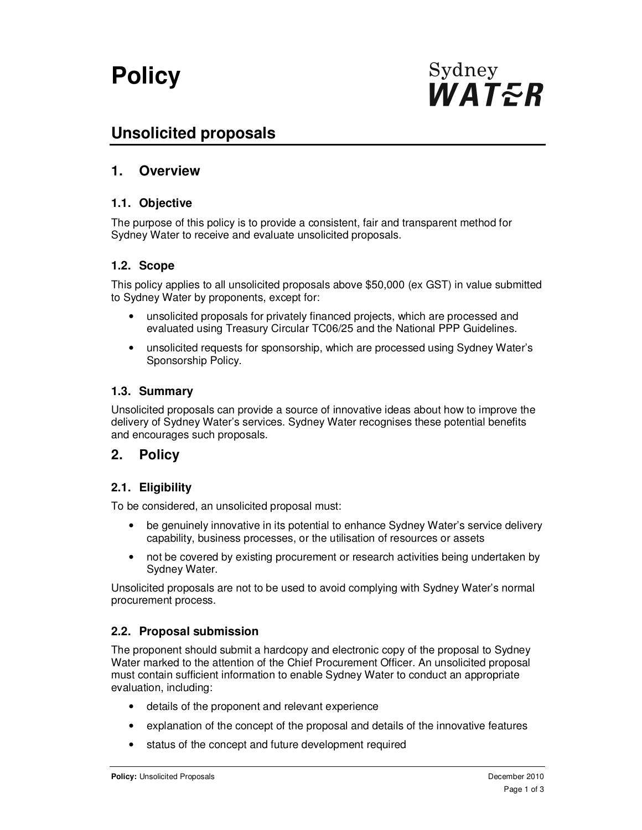# **Policy**

# **Unsolicited proposals**

# **1. Overview**

#### **1.1. Objective**

The purpose of this policy is to provide a consistent, fair and transparent method for Sydney Water to receive and evaluate unsolicited proposals.

#### **1.2. Scope**

This policy applies to all unsolicited proposals above \$50,000 (ex GST) in value submitted to Sydney Water by proponents, except for:

- unsolicited proposals for privately financed projects, which are processed and evaluated using Treasury Circular TC06/25 and the National PPP Guidelines.
- unsolicited requests for sponsorship, which are processed using Sydney Water's Sponsorship Policy.

#### **1.3. Summary**

Unsolicited proposals can provide a source of innovative ideas about how to improve the delivery of Sydney Water's services. Sydney Water recognises these potential benefits and encourages such proposals.

### **2. Policy**

#### **2.1. Eligibility**

To be considered, an unsolicited proposal must:

- be genuinely innovative in its potential to enhance Sydney Water's service delivery capability, business processes, or the utilisation of resources or assets
- not be covered by existing procurement or research activities being undertaken by Sydney Water.

Unsolicited proposals are not to be used to avoid complying with Sydney Water's normal procurement process.

#### **2.2. Proposal submission**

The proponent should submit a hardcopy and electronic copy of the proposal to Sydney Water marked to the attention of the Chief Procurement Officer. An unsolicited proposal must contain sufficient information to enable Sydney Water to conduct an appropriate evaluation, including:

- details of the proponent and relevant experience
- explanation of the concept of the proposal and details of the innovative features
- status of the concept and future development required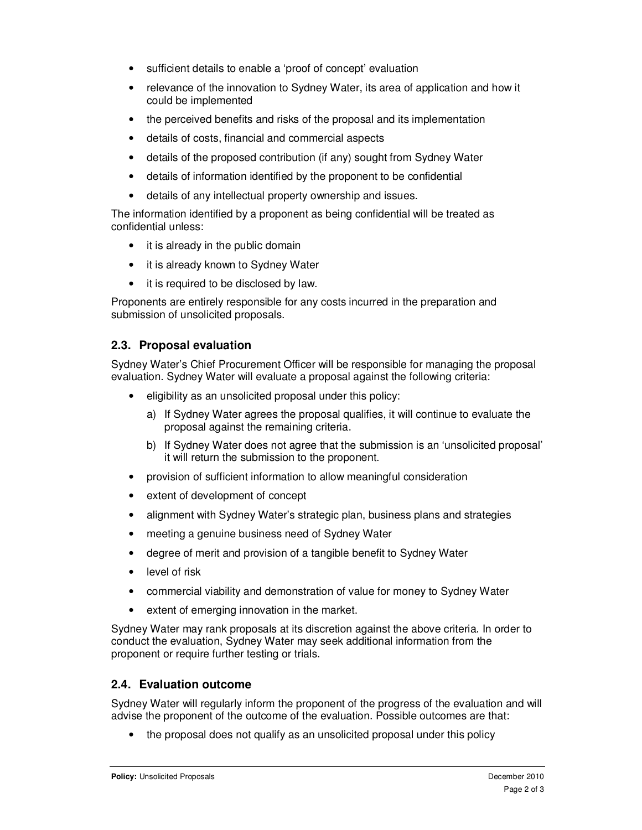- sufficient details to enable a 'proof of concept' evaluation
- relevance of the innovation to Sydney Water, its area of application and how it could be implemented
- the perceived benefits and risks of the proposal and its implementation
- details of costs, financial and commercial aspects
- details of the proposed contribution (if any) sought from Sydney Water
- details of information identified by the proponent to be confidential
- details of any intellectual property ownership and issues.

The information identified by a proponent as being confidential will be treated as confidential unless:

- it is already in the public domain
- it is already known to Sydney Water
- it is required to be disclosed by law.

Proponents are entirely responsible for any costs incurred in the preparation and submission of unsolicited proposals.

#### **2.3. Proposal evaluation**

Sydney Water's Chief Procurement Officer will be responsible for managing the proposal evaluation. Sydney Water will evaluate a proposal against the following criteria:

- eligibility as an unsolicited proposal under this policy:
	- a) If Sydney Water agrees the proposal qualifies, it will continue to evaluate the proposal against the remaining criteria.
	- b) If Sydney Water does not agree that the submission is an 'unsolicited proposal' it will return the submission to the proponent.
- provision of sufficient information to allow meaningful consideration
- extent of development of concept
- alignment with Sydney Water's strategic plan, business plans and strategies
- meeting a genuine business need of Sydney Water
- degree of merit and provision of a tangible benefit to Sydney Water
- level of risk
- commercial viability and demonstration of value for money to Sydney Water
- extent of emerging innovation in the market.

Sydney Water may rank proposals at its discretion against the above criteria. In order to conduct the evaluation, Sydney Water may seek additional information from the proponent or require further testing or trials.

#### **2.4. Evaluation outcome**

Sydney Water will regularly inform the proponent of the progress of the evaluation and will advise the proponent of the outcome of the evaluation. Possible outcomes are that:

• the proposal does not qualify as an unsolicited proposal under this policy